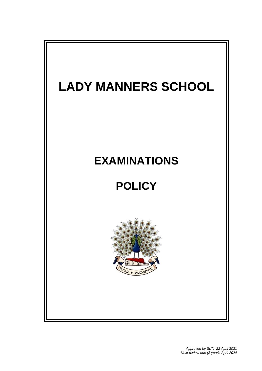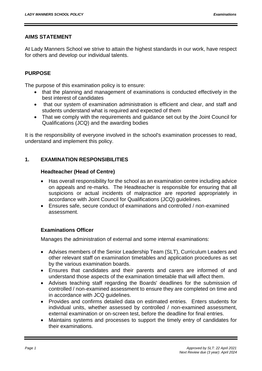# **AIMS STATEMENT**

At Lady Manners School we strive to attain the highest standards in our work, have respect for others and develop our individual talents.

# **PURPOSE**

The purpose of this examination policy is to ensure:

- that the planning and management of examinations is conducted effectively in the best interest of candidates
- that our system of examination administration is efficient and clear, and staff and students understand what is required and expected of them
- That we comply with the requirements and guidance set out by the Joint Council for Qualifications (JCQ) and the awarding bodies

It is the responsibility of everyone involved in the school's examination processes to read, understand and implement this policy.

# **1. EXAMINATION RESPONSIBILITIES**

# **Headteacher (Head of Centre)**

- Has overall responsibility for the school as an examination centre including advice on appeals and re-marks. The Headteacher is responsible for ensuring that all suspicions or actual incidents of malpractice are reported appropriately in accordance with Joint Council for Qualifications (JCQ) guidelines.
- Ensures safe, secure conduct of examinations and controlled / non-examined assessment.

## **Examinations Officer**

Manages the administration of external and some internal examinations:

- Advises members of the Senior Leadership Team (SLT), Curriculum Leaders and other relevant staff on examination timetables and application procedures as set by the various examination boards.
- Ensures that candidates and their parents and carers are informed of and understand those aspects of the examination timetable that will affect them.
- Advises teaching staff regarding the Boards' deadlines for the submission of controlled / non-examined assessment to ensure they are completed on time and in accordance with JCQ guidelines.
- Provides and confirms detailed data on estimated entries. Enters students for individual units, whether assessed by controlled / non-examined assessment, external examination or on-screen test, before the deadline for final entries.
- Maintains systems and processes to support the timely entry of candidates for their examinations.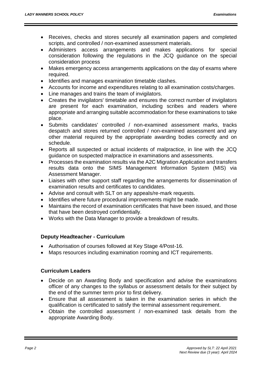- Receives, checks and stores securely all examination papers and completed scripts, and controlled / non-examined assessment materials.
- Administers access arrangements and makes applications for special consideration following the regulations in the JCQ guidance on the special consideration process
- Makes emergency access arrangements applications on the day of exams where required.
- Identifies and manages examination timetable clashes.
- Accounts for income and expenditures relating to all examination costs/charges.
- Line manages and trains the team of invigilators.
- Creates the invigilators' timetable and ensures the correct number of invigilators are present for each examination, including scribes and readers where appropriate and arranging suitable accommodation for these examinations to take place.
- Submits candidates' controlled / non-examined assessment marks, tracks despatch and stores returned controlled / non-examined assessment and any other material required by the appropriate awarding bodies correctly and on schedule.
- Reports all suspected or actual incidents of malpractice, in line with the JCQ guidance on suspected malpractice in examinations and assessments.
- Processes the examination results via the A2C Migration Application and transfers results data onto the SIMS Management Information System (MIS) via Assessment Manager.
- Liaises with other support staff regarding the arrangements for dissemination of examination results and certificates to candidates.
- Advise and consult with SLT on any appeals/re-mark requests.
- Identifies where future procedural improvements might be made.
- Maintains the record of examination certificates that have been issued, and those that have been destroyed confidentially.
- Works with the Data Manager to provide a breakdown of results.

# **Deputy Headteacher - Curriculum**

- Authorisation of courses followed at Key Stage 4/Post-16.
- Maps resources including examination rooming and ICT requirements.

# **Curriculum Leaders**

- Decide on an Awarding Body and specification and advise the examinations officer of any changes to the syllabus or assessment details for their subject by the end of the summer term prior to first delivery.
- Ensure that all assessment is taken in the examination series in which the qualification is certificated to satisfy the terminal assessment requirement.
- Obtain the controlled assessment / non-examined task details from the appropriate Awarding Body.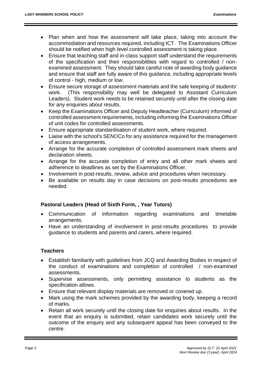- Plan when and how the assessment will take place, taking into account the accommodation and resources required, including ICT. The Examinations Officer should be notified when high level controlled assessment is taking place.
- Ensure that teaching staff and in-class support staff understand the requirements of the specification and their responsibilities with regard to controlled / nonexamined assessment. They should take careful note of awarding body guidance and ensure that staff are fully aware of this guidance, including appropriate levels of control - high, medium or low.
- Ensure secure storage of assessment materials and the safe keeping of students' work. (This responsibility may well be delegated to Assistant Curriculum Leaders). Student work needs to be retained securely until after the closing date for any enquiries about results.
- Keep the Examinations Officer and Deputy Headteacher (Curriculum) informed of controlled assessment requirements, including informing the Examinations Officer of unit codes for controlled assessments.
- Ensure appropriate standardisation of student work, where required.
- Liaise with the school's SENDCo for any assistance required for the management of access arrangements.
- Arrange for the accurate completion of controlled assessment mark sheets and declaration sheets.
- Arrange for the accurate completion of entry and all other mark sheets and adherence to deadlines as set by the Examinations Officer.
- Involvement in post-results, review, advice and procedures when necessary.
- Be available on results day in case decisions on post-results procedures are needed.

# **Pastoral Leaders (Head of Sixth Form, , Year Tutors)**

- Communication of information regarding examinations and timetable arrangements.
- Have an understanding of involvement in post-results procedures to provide guidance to students and parents and carers, where required.

## **Teachers**

- Establish familiarity with guidelines from JCQ and Awarding Bodies in respect of the conduct of examinations and completion of controlled / non-examined assessments.
- Supervise assessments, only permitting assistance to students as the specification allows.
- Ensure that relevant display materials are removed or covered up.
- Mark using the mark schemes provided by the awarding body, keeping a record of marks.
- Retain all work securely until the closing date for enquiries about results. In the event that an enquiry is submitted, retain candidates work securely until the outcome of the enquiry and any subsequent appeal has been conveyed to the centre.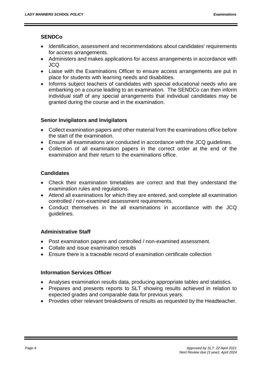# **SENDCo**

- Identification, assessment and recommendations about candidates' requirements for access arrangements.
- Administers and makes applications for access arrangements in accordance with JCQ
- Liaise with the Examinations Officer to ensure access arrangements are put in place for students with learning needs and disabilities.
- Informs subject teachers of candidates with special educational needs who are embarking on a course leading to an examination. The SENDCo can then inform individual staff of any special arrangements that individual candidates may be granted during the course and in the examination.

# **Senior Invigilators and Invigilators**

- Collect examination papers and other material from the examinations office before the start of the examination.
- Ensure all examinations are conducted in accordance with the JCQ guidelines.
- Collection of all examination papers in the correct order at the end of the examination and their return to the examinations office.

# **Candidates**

- Check their examination timetables are correct and that they understand the examination rules and regulations.
- Attend all examinations for which they are entered, and complete all examination controlled / non-examined assessment requirements.
- Conduct themselves in the all examinations in accordance with the JCQ guidelines.

# **Administrative Staff**

- Post examination papers and controlled / non-examined assessment.
- Collate and issue examination results
- Ensure there is a traceable record of examination certificate collection

# **Information Services Officer**

- Analyses examination results data, producing appropriate tables and statistics.
- Prepares and presents reports to SLT showing results achieved in relation to expected grades and comparable data for previous years.
- Provides other relevant breakdowns of results as requested by the Headteacher.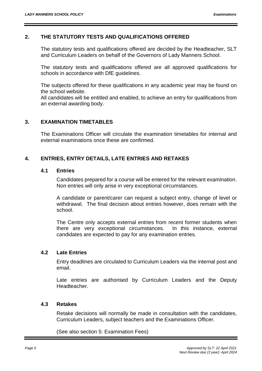#### **2. THE STATUTORY TESTS AND QUALIFICATIONS OFFERED**

The statutory tests and qualifications offered are decided by the Headteacher, SLT and Curriculum Leaders on behalf of the Governors of Lady Manners School.

The statutory tests and qualifications offered are all approved qualifications for schools in accordance with DfE guidelines.

The subjects offered for these qualifications in any academic year may be found on the school website.

All candidates will be entitled and enabled, to achieve an entry for qualifications from an external awarding body.

#### **3. EXAMINATION TIMETABLES**

The Examinations Officer will circulate the examination timetables for internal and external examinations once these are confirmed.

# **4. ENTRIES, ENTRY DETAILS, LATE ENTRIES AND RETAKES**

#### **4.1 Entries**

Candidates prepared for a course will be entered for the relevant examination. Non entries will only arise in very exceptional circumstances.

A candidate or parent/carer can request a subject entry, change of level or withdrawal. The final decision about entries however, does remain with the school.

The Centre only accepts external entries from recent former students when there are very exceptional circumstances. In this instance, external candidates are expected to pay for any examination entries.

#### **4.2 Late Entries**

Entry deadlines are circulated to Curriculum Leaders via the internal post and email.

Late entries are authorised by Curriculum Leaders and the Deputy Headteacher.

#### **4.3 Retakes**

Retake decisions will normally be made in consultation with the candidates, Curriculum Leaders, subject teachers and the Examinations Officer.

(See also section 5: Examination Fees)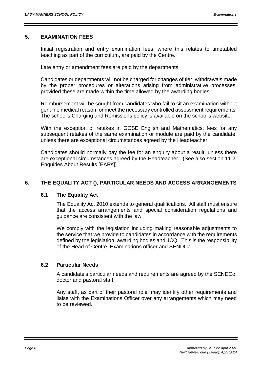## **5. EXAMINATION FEES**

Initial registration and entry examination fees, where this relates to timetabled teaching as part of the curriculum, are paid by the Centre.

Late entry or amendment fees are paid by the departments.

Candidates or departments will not be charged for changes of tier, withdrawals made by the proper procedures or alterations arising from administrative processes, provided these are made within the time allowed by the awarding bodies.

Reimbursement will be sought from candidates who fail to sit an examination without genuine medical reason, or meet the necessary controlled assessment requirements. The school's Charging and Remissions policy is available on the school's website.

With the exception of retakes in GCSE English and Mathematics, fees for any subsequent retakes of the same examination or module are paid by the candidate, unless there are exceptional circumstances agreed by the Headteacher.

Candidates should normally pay the fee for an enquiry about a result, unless there are exceptional circumstances agreed by the Headteacher. (See also section 11.2: Enquiries About Results [EARs])

# **6. THE EQUALITY ACT (), PARTICULAR NEEDS AND ACCESS ARRANGEMENTS**

## **6.1 The Equality Act**

The Equality Act 2010 extends to general qualifications. All staff must ensure that the access arrangements and special consideration regulations and guidance are consistent with the law.

We comply with the legislation including making reasonable adjustments to the service that we provide to candidates in accordance with the requirements defined by the legislation, awarding bodies and JCQ. This is the responsibility of the Head of Centre, Examinations officer and SENDCo.

## **6.2 Particular Needs**

A candidate's particular needs and requirements are agreed by the SENDCo, doctor and pastoral staff.

Any staff, as part of their pastoral role, may identify other requirements and liaise with the Examinations Officer over any arrangements which may need to be reviewed.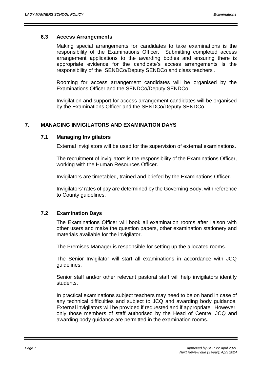#### **6.3 Access Arrangements**

Making special arrangements for candidates to take examinations is the responsibility of the Examinations Officer. Submitting completed access arrangement applications to the awarding bodies and ensuring there is appropriate evidence for the candidate's access arrangements is the responsibility of the SENDCo/Deputy SENDCo and class teachers .

Rooming for access arrangement candidates will be organised by the Examinations Officer and the SENDCo/Deputy SENDCo.

Invigilation and support for access arrangement candidates will be organised by the Examinations Officer and the SENDCo/Deputy SENDCo.

# **7. MANAGING INVIGILATORS AND EXAMINATION DAYS**

## **7.1 Managing Invigilators**

External invigilators will be used for the supervision of external examinations.

The recruitment of invigilators is the responsibility of the Examinations Officer, working with the Human Resources Officer.

Invigilators are timetabled, trained and briefed by the Examinations Officer.

Invigilators' rates of pay are determined by the Governing Body, with reference to County guidelines.

## **7.2 Examination Days**

The Examinations Officer will book all examination rooms after liaison with other users and make the question papers, other examination stationery and materials available for the invigilator.

The Premises Manager is responsible for setting up the allocated rooms.

The Senior Invigilator will start all examinations in accordance with JCQ guidelines.

Senior staff and/or other relevant pastoral staff will help invigilators identify students.

In practical examinations subject teachers may need to be on hand in case of any technical difficulties and subject to JCQ and awarding body guidance. External invigilators will be provided if requested and if appropriate. However, only those members of staff authorised by the Head of Centre, JCQ and awarding body guidance are permitted in the examination rooms.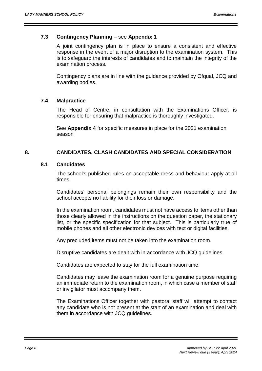## **7.3 Contingency Planning** – see **Appendix 1**

A joint contingency plan is in place to ensure a consistent and effective response in the event of a major disruption to the examination system. This is to safeguard the interests of candidates and to maintain the integrity of the examination process.

Contingency plans are in line with the guidance provided by Ofqual, JCQ and awarding bodies.

#### **7.4 Malpractice**

The Head of Centre, in consultation with the Examinations Officer, is responsible for ensuring that malpractice is thoroughly investigated.

See **Appendix 4** for specific measures in place for the 2021 examination season

## **8. CANDIDATES, CLASH CANDIDATES AND SPECIAL CONSIDERATION**

#### **8.1 Candidates**

The school's published rules on acceptable dress and behaviour apply at all times.

Candidates' personal belongings remain their own responsibility and the school accepts no liability for their loss or damage.

In the examination room, candidates must not have access to items other than those clearly allowed in the instructions on the question paper, the stationary list, or the specific specification for that subject. This is particularly true of mobile phones and all other electronic devices with text or digital facilities.

Any precluded items must not be taken into the examination room.

Disruptive candidates are dealt with in accordance with JCQ guidelines.

Candidates are expected to stay for the full examination time.

Candidates may leave the examination room for a genuine purpose requiring an immediate return to the examination room, in which case a member of staff or invigilator must accompany them.

The Examinations Officer together with pastoral staff will attempt to contact any candidate who is not present at the start of an examination and deal with them in accordance with JCQ guidelines.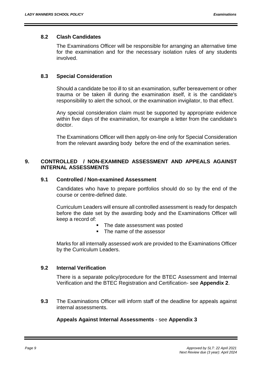#### **8.2 Clash Candidates**

The Examinations Officer will be responsible for arranging an alternative time for the examination and for the necessary isolation rules of any students involved.

## **8.3 Special Consideration**

Should a candidate be too ill to sit an examination, suffer bereavement or other trauma or be taken ill during the examination itself, it is the candidate's responsibility to alert the school, or the examination invigilator, to that effect.

Any special consideration claim must be supported by appropriate evidence within five days of the examination, for example a letter from the candidate's doctor.

The Examinations Officer will then apply on-line only for Special Consideration from the relevant awarding body before the end of the examination series.

# **9. CONTROLLED / NON-EXAMINED ASSESSMENT AND APPEALS AGAINST INTERNAL ASSESSMENTS**

#### **9.1 Controlled / Non-examined Assessment**

Candidates who have to prepare portfolios should do so by the end of the course or centre-defined date.

Curriculum Leaders will ensure all controlled assessment is ready for despatch before the date set by the awarding body and the Examinations Officer will keep a record of:

- The date assessment was posted
- The name of the assessor

Marks for all internally assessed work are provided to the Examinations Officer by the Curriculum Leaders.

## **9.2 Internal Verification**

There is a separate policy/procedure for the BTEC Assessment and Internal Verification and the BTEC Registration and Certification- see **Appendix 2**.

**9.3** The Examinations Officer will inform staff of the deadline for appeals against internal assessments.

## **Appeals Against Internal Assessments** - see **Appendix 3**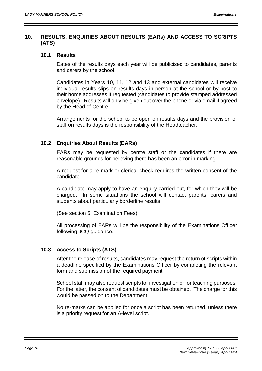## **10. RESULTS, ENQUIRIES ABOUT RESULTS (EARs) AND ACCESS TO SCRIPTS (ATS)**

#### **10.1 Results**

Dates of the results days each year will be publicised to candidates, parents and carers by the school.

Candidates in Years 10, 11, 12 and 13 and external candidates will receive individual results slips on results days in person at the school or by post to their home addresses if requested (candidates to provide stamped addressed envelope). Results will only be given out over the phone or via email if agreed by the Head of Centre.

Arrangements for the school to be open on results days and the provision of staff on results days is the responsibility of the Headteacher.

## **10.2 Enquiries About Results (EARs)**

EARs may be requested by centre staff or the candidates if there are reasonable grounds for believing there has been an error in marking.

A request for a re-mark or clerical check requires the written consent of the candidate.

A candidate may apply to have an enquiry carried out, for which they will be charged. In some situations the school will contact parents, carers and students about particularly borderline results.

(See section 5: Examination Fees)

All processing of EARs will be the responsibility of the Examinations Officer following JCQ guidance.

## **10.3 Access to Scripts (ATS)**

After the release of results, candidates may request the return of scripts within a deadline specified by the Examinations Officer by completing the relevant form and submission of the required payment.

School staff may also request scripts for investigation or for teaching purposes. For the latter, the consent of candidates must be obtained. The charge for this would be passed on to the Department.

No re-marks can be applied for once a script has been returned, unless there is a priority request for an A-level script.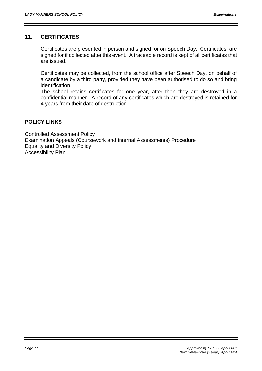# **11. CERTIFICATES**

Certificates are presented in person and signed for on Speech Day. Certificates are signed for if collected after this event. A traceable record is kept of all certificates that are issued.

Certificates may be collected, from the school office after Speech Day, on behalf of a candidate by a third party, provided they have been authorised to do so and bring identification.

The school retains certificates for one year, after then they are destroyed in a confidential manner. A record of any certificates which are destroyed is retained for 4 years from their date of destruction.

# **POLICY LINKS**

Controlled Assessment Policy Examination Appeals (Coursework and Internal Assessments) Procedure Equality and Diversity Policy Accessibility Plan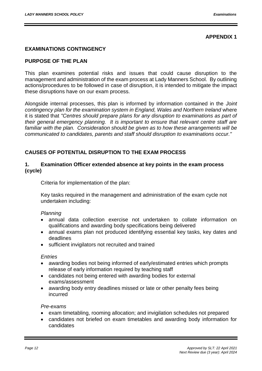# **APPENDIX 1**

# **EXAMINATIONS CONTINGENCY**

## **PURPOSE OF THE PLAN**

This plan examines potential risks and issues that could cause disruption to the management and administration of the exam process at Lady Manners School. By outlining actions/procedures to be followed in case of disruption, it is intended to mitigate the impact these disruptions have on our exam process.

Alongside internal processes, this plan is informed by information contained in the *Joint*  contingency plan for the examination system in England, Wales and Northern Ireland where it is stated that *"Centres should prepare plans for any disruption to examinations as part of their general emergency planning. It is important to ensure that relevant centre staff are*  familiar with the plan. Consideration should be given as to how these arrangements will be *communicated to candidates, parents and staff should disruption to examinations occur."* 

# **CAUSES OF POTENTIAL DISRUPTION TO THE EXAM PROCESS**

#### **1. Examination Officer extended absence at key points in the exam process (cycle)**

Criteria for implementation of the plan:

Key tasks required in the management and administration of the exam cycle not undertaken including:

#### *Planning*

- annual data collection exercise not undertaken to collate information on qualifications and awarding body specifications being delivered
- annual exams plan not produced identifying essential key tasks, key dates and deadlines
- sufficient invigilators not recruited and trained

#### *Entries*

- awarding bodies not being informed of early/estimated entries which prompts release of early information required by teaching staff
- candidates not being entered with awarding bodies for external exams/assessment
- awarding body entry deadlines missed or late or other penalty fees being incurred

#### *Pre-exams*

- exam timetabling, rooming allocation; and invigilation schedules not prepared
- candidates not briefed on exam timetables and awarding body information for candidates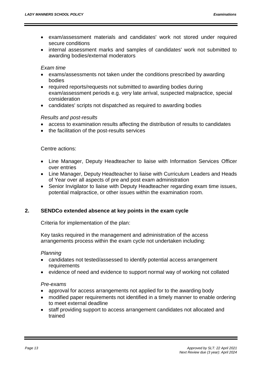- exam/assessment materials and candidates' work not stored under required secure conditions
- internal assessment marks and samples of candidates' work not submitted to awarding bodies/external moderators

## *Exam time*

- exams/assessments not taken under the conditions prescribed by awarding bodies
- required reports/requests not submitted to awarding bodies during exam/assessment periods e.g. very late arrival, suspected malpractice, special consideration
- candidates' scripts not dispatched as required to awarding bodies

## *Results and post-results*

- access to examination results affecting the distribution of results to candidates
- the facilitation of the post-results services

#### Centre actions:

- Line Manager, Deputy Headteacher to liaise with Information Services Officer over entries
- Line Manager, Deputy Headteacher to liaise with Curriculum Leaders and Heads of Year over all aspects of pre and post exam administration
- Senior Invigilator to liaise with Deputy Headteacher regarding exam time issues, potential malpractice, or other issues within the examination room.

## **2. SENDCo extended absence at key points in the exam cycle**

Criteria for implementation of the plan:

Key tasks required in the management and administration of the access arrangements process within the exam cycle not undertaken including:

#### *Planning*

- candidates not tested/assessed to identify potential access arrangement requirements
- evidence of need and evidence to support normal way of working not collated

#### *Pre-exams*

- approval for access arrangements not applied for to the awarding body
- modified paper requirements not identified in a timely manner to enable ordering to meet external deadline
- staff providing support to access arrangement candidates not allocated and trained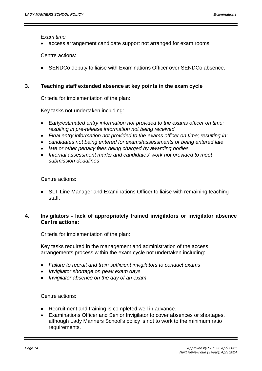*Exam time* 

access arrangement candidate support not arranged for exam rooms

Centre actions:

SENDCo deputy to liaise with Examinations Officer over SENDCo absence.

## **3. Teaching staff extended absence at key points in the exam cycle**

Criteria for implementation of the plan:

Key tasks not undertaken including:

- *Early/estimated entry information not provided to the exams officer on time; resulting in pre-release information not being received*
- *Final entry information not provided to the exams officer on time; resulting in:*
- *candidates not being entered for exams/assessments or being entered late*
- *late or other penalty fees being charged by awarding bodies*
- *Internal assessment marks and candidates' work not provided to meet submission deadlines*

Centre actions:

 SLT Line Manager and Examinations Officer to liaise with remaining teaching staff.

# **4. Invigilators - lack of appropriately trained invigilators or invigilator absence Centre actions:**

Criteria for implementation of the plan:

Key tasks required in the management and administration of the access arrangements process within the exam cycle not undertaken including:

- *Failure to recruit and train sufficient invigilators to conduct exams*
- *Invigilator shortage on peak exam days*
- *Invigilator absence on the day of an exam*

## Centre actions:

- Recruitment and training is completed well in advance.
- Examinations Officer and Senior Invigilator to cover absences or shortages, although Lady Manners School's policy is not to work to the minimum ratio requirements.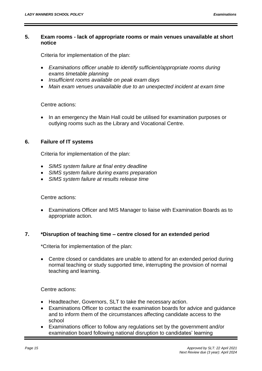## **5. Exam rooms - lack of appropriate rooms or main venues unavailable at short notice**

Criteria for implementation of the plan:

- *Examinations officer unable to identify sufficient/appropriate rooms during exams timetable planning*
- *Insufficient rooms available on peak exam days*
- *Main exam venues unavailable due to an unexpected incident at exam time*

#### Centre actions:

 In an emergency the Main Hall could be utilised for examination purposes or outlying rooms such as the Library and Vocational Centre.

#### **6. Failure of IT systems**

Criteria for implementation of the plan:

- *SIMS system failure at final entry deadline*
- *SIMS system failure during exams preparation*
- *SIMS system failure at results release time*

Centre actions:

 Examinations Officer and MIS Manager to liaise with Examination Boards as to appropriate action.

#### **7. \*Disruption of teaching time – centre closed for an extended period**

\*Criteria for implementation of the plan:

 Centre closed or candidates are unable to attend for an extended period during normal teaching or study supported time, interrupting the provision of normal teaching and learning.

Centre actions:

- Headteacher, Governors, SLT to take the necessary action.
- Examinations Officer to contact the examination boards for advice and guidance and to inform them of the circumstances affecting candidate access to the school
- Examinations officer to follow any regulations set by the government and/or examination board following national disruption to candidates' learning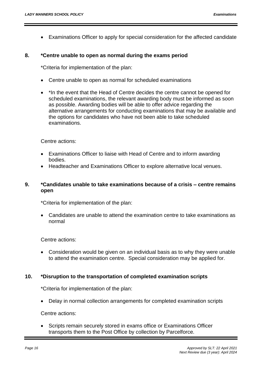Examinations Officer to apply for special consideration for the affected candidate

#### **8. \*Centre unable to open as normal during the exams period**

\*Criteria for implementation of the plan:

- Centre unable to open as normal for scheduled examinations
- \*In the event that the Head of Centre decides the centre cannot be opened for scheduled examinations, the relevant awarding body must be informed as soon as possible. Awarding bodies will be able to offer advice regarding the alternative arrangements for conducting examinations that may be available and the options for candidates who have not been able to take scheduled examinations.

Centre actions:

- Examinations Officer to liaise with Head of Centre and to inform awarding bodies.
- Headteacher and Examinations Officer to explore alternative local venues.

## **9. \*Candidates unable to take examinations because of a crisis – centre remains open**

\*Criteria for implementation of the plan:

 Candidates are unable to attend the examination centre to take examinations as normal

Centre actions:

 Consideration would be given on an individual basis as to why they were unable to attend the examination centre. Special consideration may be applied for.

## **10. \*Disruption to the transportation of completed examination scripts**

\*Criteria for implementation of the plan:

Delay in normal collection arrangements for completed examination scripts

Centre actions:

 Scripts remain securely stored in exams office or Examinations Officer transports them to the Post Office by collection by Parcelforce.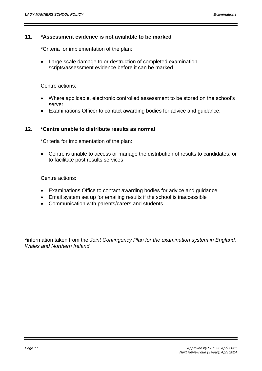## **11. \*Assessment evidence is not available to be marked**

\*Criteria for implementation of the plan:

 Large scale damage to or destruction of completed examination scripts/assessment evidence before it can be marked

Centre actions:

- Where applicable, electronic controlled assessment to be stored on the school's server
- Examinations Officer to contact awarding bodies for advice and guidance.

# **12. \*Centre unable to distribute results as normal**

\*Criteria for implementation of the plan:

 Centre is unable to access or manage the distribution of results to candidates, or to facilitate post results services

Centre actions:

- Examinations Office to contact awarding bodies for advice and guidance
- Email system set up for emailing results if the school is inaccessible
- Communication with parents/carers and students

\*information taken from the *Joint Contingency Plan for the examination system in England, Wales and Northern Ireland*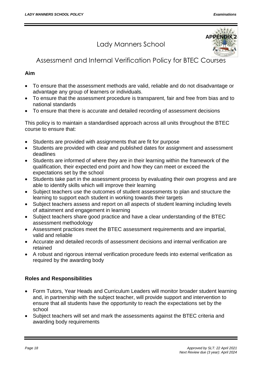# Lady Manners School



# Assessment and Internal Verification Policy for BTEC Courses

# **Aim**

- To ensure that the assessment methods are valid, reliable and do not disadvantage or advantage any group of learners or individuals.
- To ensure that the assessment procedure is transparent, fair and free from bias and to national standards
- To ensure that there is accurate and detailed recording of assessment decisions

This policy is to maintain a standardised approach across all units throughout the BTEC course to ensure that:

- Students are provided with assignments that are fit for purpose
- Students are provided with clear and published dates for assignment and assessment deadlines
- Students are informed of where they are in their learning within the framework of the qualification, their expected end point and how they can meet or exceed the expectations set by the school
- Students take part in the assessment process by evaluating their own progress and are able to identify skills which will improve their learning
- Subject teachers use the outcomes of student assessments to plan and structure the learning to support each student in working towards their targets
- Subject teachers assess and report on all aspects of student learning including levels of attainment and engagement in learning
- Subject teachers share good practice and have a clear understanding of the BTEC assessment methodology
- Assessment practices meet the BTEC assessment requirements and are impartial, valid and reliable
- Accurate and detailed records of assessment decisions and internal verification are retained
- A robust and rigorous internal verification procedure feeds into external verification as required by the awarding body

# **Roles and Responsibilities**

- Form Tutors, Year Heads and Curriculum Leaders will monitor broader student learning and, in partnership with the subject teacher, will provide support and intervention to ensure that all students have the opportunity to reach the expectations set by the school
- Subject teachers will set and mark the assessments against the BTEC criteria and awarding body requirements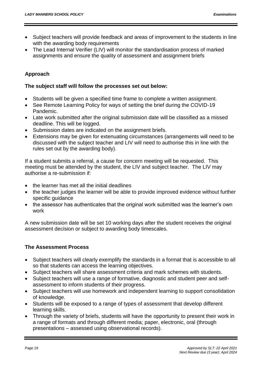- Subject teachers will provide feedback and areas of improvement to the students in line with the awarding body requirements
- The Lead Internal Verifier (LIV) will monitor the standardisation process of marked assignments and ensure the quality of assessment and assignment briefs

# **Approach**

#### **The subject staff will follow the processes set out below:**

- Students will be given a specified time frame to complete a written assignment.
- See Remote Learning Policy for ways of setting the brief during the COVID-19 Pandemic.
- Late work submitted after the original submission date will be classified as a missed deadline. This will be logged.
- Submission dates are indicated on the assignment briefs.
- Extensions may be given for extenuating circumstances (arrangements will need to be discussed with the subject teacher and LIV will need to authorise this in line with the rules set out by the awarding body).

If a student submits a referral, a cause for concern meeting will be requested. This meeting must be attended by the student, the LIV and subject teacher. The LIV may authorise a re-submission if:

- the learner has met all the initial deadlines
- the teacher judges the learner will be able to provide improved evidence without further specific guidance
- the assessor has authenticates that the original work submitted was the learner's own work

A new submission date will be set 10 working days after the student receives the original assessment decision or subject to awarding body timescales.

## **The Assessment Process**

- Subject teachers will clearly exemplify the standards in a format that is accessible to all so that students can access the learning objectives.
- Subject teachers will share assessment criteria and mark schemes with students.
- Subject teachers will use a range of formative, diagnostic and student peer and selfassessment to inform students of their progress.
- Subject teachers will use homework and independent learning to support consolidation of knowledge.
- Students will be exposed to a range of types of assessment that develop different learning skills.
- Through the variety of briefs, students will have the opportunity to present their work in a range of formats and through different media; paper, electronic, oral (through presentations – assessed using observational records).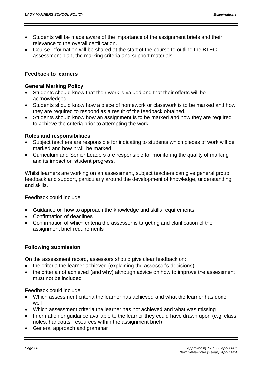- Students will be made aware of the importance of the assignment briefs and their relevance to the overall certification.
- Course information will be shared at the start of the course to outline the BTEC assessment plan, the marking criteria and support materials.

#### **Feedback to learners**

#### **General Marking Policy**

- Students should know that their work is valued and that their efforts will be acknowledged.
- Students should know how a piece of homework or classwork is to be marked and how they are required to respond as a result of the feedback obtained.
- Students should know how an assignment is to be marked and how they are required to achieve the criteria prior to attempting the work.

#### **Roles and responsibilities**

- Subject teachers are responsible for indicating to students which pieces of work will be marked and how it will be marked.
- Curriculum and Senior Leaders are responsible for monitoring the quality of marking and its impact on student progress.

Whilst learners are working on an assessment, subject teachers can give general group feedback and support, particularly around the development of knowledge, understanding and skills.

Feedback could include:

- Guidance on how to approach the knowledge and skills requirements
- Confirmation of deadlines
- Confirmation of which criteria the assessor is targeting and clarification of the assignment brief requirements

## **Following submission**

On the assessment record, assessors should give clear feedback on:

- the criteria the learner achieved (explaining the assessor's decisions)
- the criteria not achieved (and why) although advice on how to improve the assessment must not be included

Feedback could include:

- Which assessment criteria the learner has achieved and what the learner has done well
- Which assessment criteria the learner has not achieved and what was missing
- Information or guidance available to the learner they could have drawn upon (e.g. class notes; handouts; resources within the assignment brief)
- General approach and grammar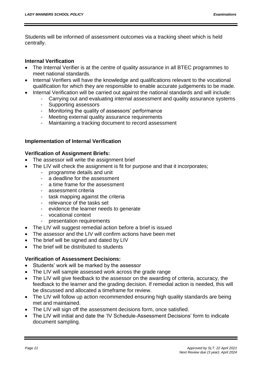Students will be informed of assessment outcomes via a tracking sheet which is held centrally.

## **Internal Verification**

- The Internal Verifier is at the centre of quality assurance in all BTEC programmes to meet national standards.
- Internal Verifiers will have the knowledge and qualifications relevant to the vocational qualification for which they are responsible to enable accurate judgements to be made.
- Internal Verification will be carried out against the national standards and will include:
	- Carrying out and evaluating internal assessment and quality assurance systems
		- Supporting assessors
		- Monitoring the quality of assessors' performance
		- Meeting external quality assurance requirements
		- Maintaining a tracking document to record assessment

# **Implementation of Internal Verification**

## **Verification of Assignment Briefs:**

- The assessor will write the assignment brief
- The LIV will check the assignment is fit for purpose and that it incorporates;
	- programme details and unit
	- a deadline for the assessment
	- a time frame for the assessment
	- assessment criteria
	- task mapping against the criteria
	- relevance of the tasks set
	- evidence the learner needs to generate
	- vocational context
	- presentation requirements
- The LIV will suggest remedial action before a brief is issued
- The assessor and the LIV will confirm actions have been met
- The brief will be signed and dated by LIV
- The brief will be distributed to students

# **Verification of Assessment Decisions:**

- Students' work will be marked by the assessor
- The LIV will sample assessed work across the grade range
- The LIV will give feedback to the assessor on the awarding of criteria, accuracy, the feedback to the learner and the grading decision. If remedial action is needed, this will be discussed and allocated a timeframe for review.
- The LIV will follow up action recommended ensuring high quality standards are being met and maintained.
- The LIV will sign off the assessment decisions form, once satisfied.
- The LIV will initial and date the 'IV Schedule-Assessment Decisions' form to indicate document sampling.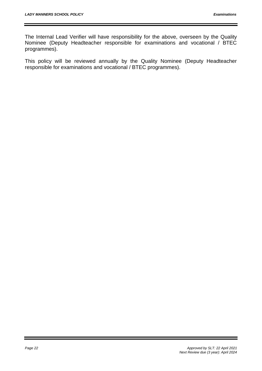The Internal Lead Verifier will have responsibility for the above, overseen by the Quality Nominee (Deputy Headteacher responsible for examinations and vocational / BTEC programmes).

This policy will be reviewed annually by the Quality Nominee (Deputy Headteacher responsible for examinations and vocational / BTEC programmes).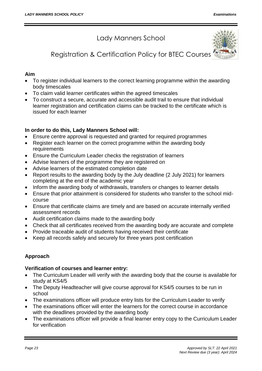Lady Manners School



Registration & Certification Policy for BTEC Courses

# **Aim**

- To register individual learners to the correct learning programme within the awarding body timescales
- To claim valid learner certificates within the agreed timescales
- To construct a secure, accurate and accessible audit trail to ensure that individual learner registration and certification claims can be tracked to the certificate which is issued for each learner

# **In order to do this, Lady Manners School will:**

- Ensure centre approval is requested and granted for required programmes
- Register each learner on the correct programme within the awarding body requirements
- Ensure the Curriculum Leader checks the registration of learners
- Advise learners of the programme they are registered on
- Advise learners of the estimated completion date
- Report results to the awarding body by the July deadline (2 July 2021) for learners completing at the end of the academic year
- Inform the awarding body of withdrawals, transfers or changes to learner details
- Ensure that prior attainment is considered for students who transfer to the school midcourse
- Ensure that certificate claims are timely and are based on accurate internally verified assessment records
- Audit certification claims made to the awarding body
- Check that all certificates received from the awarding body are accurate and complete
- Provide traceable audit of students having received their certificate
- Keep all records safely and securely for three years post certification

# **Approach**

## **Verification of courses and learner entry:**

- The Curriculum Leader will verify with the awarding body that the course is available for study at KS4/5
- The Deputy Headteacher will give course approval for KS4/5 courses to be run in school
- The examinations officer will produce entry lists for the Curriculum Leader to verify
- The examinations officer will enter the learners for the correct course in accordance with the deadlines provided by the awarding body
- The examinations officer will provide a final learner entry copy to the Curriculum Leader for verification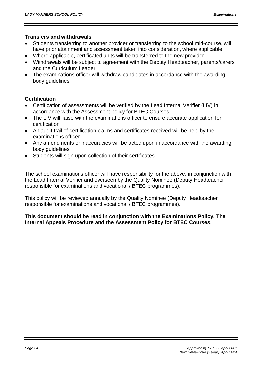# **Transfers and withdrawals**

- Students transferring to another provider or transferring to the school mid-course, will have prior attainment and assessment taken into consideration, where applicable
- Where applicable, certificated units will be transferred to the new provider
- Withdrawals will be subject to agreement with the Deputy Headteacher, parents/carers and the Curriculum Leader
- The examinations officer will withdraw candidates in accordance with the awarding body guidelines

# **Certification**

- Certification of assessments will be verified by the Lead Internal Verifier (LIV) in accordance with the Assessment policy for BTEC Courses
- The LIV will liaise with the examinations officer to ensure accurate application for certification
- An audit trail of certification claims and certificates received will be held by the examinations officer
- Any amendments or inaccuracies will be acted upon in accordance with the awarding body guidelines
- Students will sign upon collection of their certificates

The school examinations officer will have responsibility for the above, in conjunction with the Lead Internal Verifier and overseen by the Quality Nominee (Deputy Headteacher responsible for examinations and vocational / BTEC programmes).

This policy will be reviewed annually by the Quality Nominee (Deputy Headteacher responsible for examinations and vocational / BTEC programmes).

# **This document should be read in conjunction with the Examinations Policy, The Internal Appeals Procedure and the Assessment Policy for BTEC Courses.**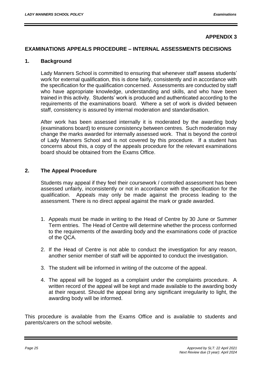## **APPENDIX 3**

#### **EXAMINATIONS APPEALS PROCEDURE – INTERNAL ASSESSMENTS DECISIONS**

#### **1. Background**

Lady Manners School is committed to ensuring that whenever staff assess students' work for external qualification, this is done fairly, consistently and in accordance with the specification for the qualification concerned. Assessments are conducted by staff who have appropriate knowledge, understanding and skills, and who have been trained in this activity. Students' work is produced and authenticated according to the requirements of the examinations board. Where a set of work is divided between staff, consistency is assured by internal moderation and standardisation.

After work has been assessed internally it is moderated by the awarding body (examinations board) to ensure consistency between centres. Such moderation may change the marks awarded for internally assessed work. That is beyond the control of Lady Manners School and is not covered by this procedure. If a student has concerns about this, a copy of the appeals procedure for the relevant examinations board should be obtained from the Exams Office.

#### **2. The Appeal Procedure**

Students may appeal if they feel their coursework / controlled assessment has been assessed unfairly, inconsistently or not in accordance with the specification for the qualification. Appeals may only be made against the process leading to the assessment. There is no direct appeal against the mark or grade awarded.

- 1. Appeals must be made in writing to the Head of Centre by 30 June or Summer Term entries. The Head of Centre will determine whether the process conformed to the requirements of the awarding body and the examinations code of practice of the QCA.
- 2. If the Head of Centre is not able to conduct the investigation for any reason, another senior member of staff will be appointed to conduct the investigation.
- 3. The student will be informed in writing of the outcome of the appeal.
- 4. The appeal will be logged as a complaint under the complaints procedure. A written record of the appeal will be kept and made available to the awarding body at their request. Should the appeal bring any significant irregularity to light, the awarding body will be informed.

This procedure is available from the Exams Office and is available to students and parents/carers on the school website.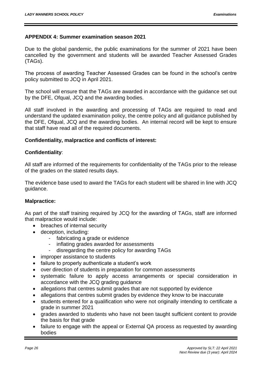## **APPENDIX 4: Summer examination season 2021**

Due to the global pandemic, the public examinations for the summer of 2021 have been cancelled by the government and students will be awarded Teacher Assessed Grades (TAGs).

The process of awarding Teacher Assessed Grades can be found in the school's centre policy submitted to JCQ in April 2021.

The school will ensure that the TAGs are awarded in accordance with the guidance set out by the DFE, Ofqual, JCQ and the awarding bodies.

All staff involved in the awarding and processing of TAGs are required to read and understand the updated examination policy, the centre policy and all guidance published by the DFE, Ofqual, JCQ and the awarding bodies. An internal record will be kept to ensure that staff have read all of the required documents.

#### **Confidentiality, malpractice and conflicts of interest:**

#### **Confidentiality**:

All staff are informed of the requirements for confidentiality of the TAGs prior to the release of the grades on the stated results days.

The evidence base used to award the TAGs for each student will be shared in line with JCQ guidance.

## **Malpractice:**

As part of the staff training required by JCQ for the awarding of TAGs, staff are informed that malpractice would include:

- breaches of internal security
- deception, including:
	- fabricating a grade or evidence
	- inflating grades awarded for assessments
	- disregarding the centre policy for awarding TAGs
- improper assistance to students
- failure to properly authenticate a student's work
- over direction of students in preparation for common assessments
- systematic failure to apply access arrangements or special consideration in accordance with the JCQ grading guidance
- allegations that centres submit grades that are not supported by evidence
- allegations that centres submit grades by evidence they know to be inaccurate
- students entered for a qualification who were not originally intending to certificate a grade in summer 2021
- grades awarded to students who have not been taught sufficient content to provide the basis for that grade
- failure to engage with the appeal or External QA process as requested by awarding bodies